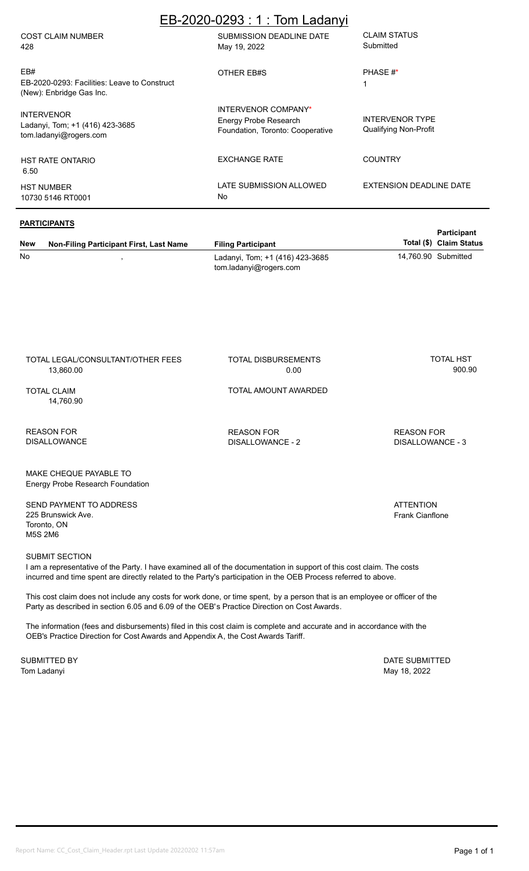| EB-2020-0293: 1: Tom Ladanyi                                                    |                                                                                  |                                                 |  |  |  |
|---------------------------------------------------------------------------------|----------------------------------------------------------------------------------|-------------------------------------------------|--|--|--|
| <b>COST CLAIM NUMBER</b><br>428                                                 | SUBMISSION DEADLINE DATE<br>May 19, 2022                                         | <b>CLAIM STATUS</b><br>Submitted                |  |  |  |
| EB#<br>EB-2020-0293: Facilities: Leave to Construct<br>(New): Enbridge Gas Inc. | OTHER EB#S                                                                       | PHASE #*                                        |  |  |  |
| <b>INTERVENOR</b><br>Ladanyi, Tom; +1 (416) 423-3685<br>tom.ladanyi@rogers.com  | INTERVENOR COMPANY*<br>Energy Probe Research<br>Foundation, Toronto: Cooperative | <b>INTERVENOR TYPE</b><br>Qualifying Non-Profit |  |  |  |
| <b>HST RATE ONTARIO</b><br>6.50                                                 | <b>EXCHANGE RATE</b>                                                             | <b>COUNTRY</b>                                  |  |  |  |
| <b>HST NUMBER</b><br>10730 5146 RT0001                                          | LATE SUBMISSION ALLOWED<br><b>No</b>                                             | EXTENSION DEADLINE DATE                         |  |  |  |
|                                                                                 |                                                                                  |                                                 |  |  |  |

#### **New PARTICIPANTS Non-Filing Participant First, Last Name Filing Participant** ,

No Ladanyi, Tom; +1 (416) 423-3685 14,760.90 Submitted tom.ladanyi@rogers.com

TOTAL LEGAL/CONSULTANT/OTHER FEES 13,860.00

TOTAL DISBURSEMENTS 0.00

TOTAL AMOUNT AWARDED

14,760.90

REASON FOR DISALLOWANCE

DISALLOWANCE - 2

REASON FOR DISALLOWANCE - 3

**Total (\$)**

TOTAL HST 900.90

**Participant** 

MAKE CHEQUE PAYABLE TO Energy Probe Research Foundation

SEND PAYMENT TO ADDRESS 225 Brunswick Ave. Toronto, ON M5S 2M6

#### SUBMIT SECTION

I am a representative of the Party. I have examined all of the documentation in support of this cost claim. The costs incurred and time spent are directly related to the Party's participation in the OEB Process referred to above.

This cost claim does not include any costs for work done, or time spent, by a person that is an employee or officer of the Party as described in section 6.05 and 6.09 of the OEB's Practice Direction on Cost Awards.

The information (fees and disbursements) filed in this cost claim is complete and accurate and in accordance with the OEB's Practice Direction for Cost Awards and Appendix A, the Cost Awards Tariff.

Tom Ladanyi May 18, 2022

SUBMITTED BY **DATE SUBMITTED** 

TOTAL CLAIM

#### **ATTENTION** Frank Cianflone

REASON FOR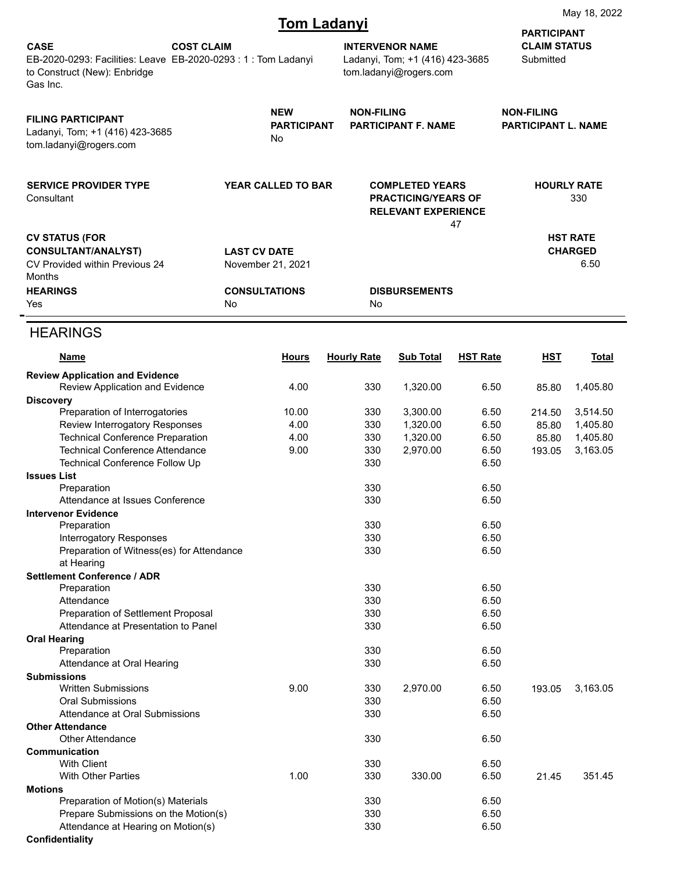# **Tom Ladanyi**

|                                                                                                                         |                   |                                                                                                                       | TUNI Laudityi                                                                       |                                                 |                 | <b>PARTICIPANT</b>               |                                           |
|-------------------------------------------------------------------------------------------------------------------------|-------------------|-----------------------------------------------------------------------------------------------------------------------|-------------------------------------------------------------------------------------|-------------------------------------------------|-----------------|----------------------------------|-------------------------------------------|
| <b>CASE</b><br>EB-2020-0293: Facilities: Leave EB-2020-0293: 1: Tom Ladanyi<br>to Construct (New): Enbridge<br>Gas Inc. | <b>COST CLAIM</b> |                                                                                                                       | <b>INTERVENOR NAME</b><br>Ladanyi, Tom; +1 (416) 423-3685<br>tom.ladanyi@rogers.com |                                                 |                 | <b>CLAIM STATUS</b><br>Submitted |                                           |
| <b>FILING PARTICIPANT</b><br>Ladanyi, Tom; +1 (416) 423-3685<br>tom.ladanyi@rogers.com                                  |                   | <b>NEW</b><br><b>NON-FILING</b><br><b>PARTICIPANT</b><br><b>PARTICIPANT F. NAME</b><br>No                             |                                                                                     | <b>NON-FILING</b><br><b>PARTICIPANT L. NAME</b> |                 |                                  |                                           |
| <b>SERVICE PROVIDER TYPE</b><br>Consultant                                                                              |                   | <b>YEAR CALLED TO BAR</b><br><b>COMPLETED YEARS</b><br><b>PRACTICING/YEARS OF</b><br><b>RELEVANT EXPERIENCE</b><br>47 |                                                                                     |                                                 |                 | <b>HOURLY RATE</b><br>330        |                                           |
| <b>CV STATUS (FOR</b><br><b>CONSULTANT/ANALYST)</b><br>CV Provided within Previous 24<br>Months                         |                   | <b>LAST CV DATE</b><br>November 21, 2021                                                                              |                                                                                     |                                                 |                 |                                  | <b>HST RATE</b><br><b>CHARGED</b><br>6.50 |
| <b>HEARINGS</b><br>Yes                                                                                                  | No                | <b>CONSULTATIONS</b>                                                                                                  | No                                                                                  | <b>DISBURSEMENTS</b>                            |                 |                                  |                                           |
| <b>HEARINGS</b>                                                                                                         |                   |                                                                                                                       |                                                                                     |                                                 |                 |                                  |                                           |
| Name                                                                                                                    |                   | <b>Hours</b>                                                                                                          | <b>Hourly Rate</b>                                                                  | <b>Sub Total</b>                                | <b>HST Rate</b> | <u>HST</u>                       | <b>Total</b>                              |
| <b>Review Application and Evidence</b><br>Review Application and Evidence                                               |                   | 4.00                                                                                                                  | 330                                                                                 | 1,320.00                                        | 6.50            | 85.80                            | 1,405.80                                  |
| <b>Discovery</b>                                                                                                        |                   |                                                                                                                       |                                                                                     |                                                 |                 |                                  |                                           |
| Preparation of Interrogatories                                                                                          |                   | 10.00                                                                                                                 | 330                                                                                 | 3,300.00                                        | 6.50            | 214.50                           | 3,514.50                                  |
| Review Interrogatory Responses                                                                                          |                   | 4.00                                                                                                                  | 330                                                                                 | 1,320.00                                        | 6.50            | 85.80                            | 1,405.80                                  |
| <b>Technical Conference Preparation</b>                                                                                 |                   | 4.00                                                                                                                  | 330                                                                                 | 1,320.00                                        | 6.50            | 85.80                            | 1,405.80                                  |
| <b>Technical Conference Attendance</b><br><b>Technical Conference Follow Up</b>                                         |                   | 9.00                                                                                                                  | 330<br>330                                                                          | 2,970.00                                        | 6.50<br>6.50    | 193.05                           | 3,163.05                                  |
| <b>Issues List</b>                                                                                                      |                   |                                                                                                                       |                                                                                     |                                                 |                 |                                  |                                           |
| Preparation                                                                                                             |                   |                                                                                                                       | 330                                                                                 |                                                 | 6.50            |                                  |                                           |
| Attendance at Issues Conference                                                                                         |                   |                                                                                                                       | 330                                                                                 |                                                 | 6.50            |                                  |                                           |
| <b>Intervenor Evidence</b>                                                                                              |                   |                                                                                                                       |                                                                                     |                                                 |                 |                                  |                                           |
| Preparation                                                                                                             |                   |                                                                                                                       | 330                                                                                 |                                                 | 6.50            |                                  |                                           |
| <b>Interrogatory Responses</b>                                                                                          |                   |                                                                                                                       | 330                                                                                 |                                                 | 6.50            |                                  |                                           |
| Preparation of Witness(es) for Attendance<br>at Hearing                                                                 |                   |                                                                                                                       | 330                                                                                 |                                                 | 6.50            |                                  |                                           |
| <b>Settlement Conference / ADR</b><br>Preparation                                                                       |                   |                                                                                                                       | 330                                                                                 |                                                 | 6.50            |                                  |                                           |
| Attendance                                                                                                              |                   |                                                                                                                       | 330                                                                                 |                                                 | 6.50            |                                  |                                           |
| Preparation of Settlement Proposal                                                                                      |                   |                                                                                                                       | 330                                                                                 |                                                 | 6.50            |                                  |                                           |
| Attendance at Presentation to Panel                                                                                     |                   |                                                                                                                       | 330                                                                                 |                                                 | 6.50            |                                  |                                           |
| <b>Oral Hearing</b>                                                                                                     |                   |                                                                                                                       |                                                                                     |                                                 |                 |                                  |                                           |
| Preparation                                                                                                             |                   |                                                                                                                       | 330                                                                                 |                                                 | 6.50            |                                  |                                           |
| Attendance at Oral Hearing                                                                                              |                   |                                                                                                                       | 330                                                                                 |                                                 | 6.50            |                                  |                                           |
| <b>Submissions</b>                                                                                                      |                   |                                                                                                                       |                                                                                     |                                                 |                 |                                  |                                           |
| <b>Written Submissions</b><br>Oral Submissions                                                                          |                   | 9.00                                                                                                                  | 330<br>330                                                                          | 2,970.00                                        | 6.50<br>6.50    | 193.05                           | 3,163.05                                  |
| Attendance at Oral Submissions                                                                                          |                   |                                                                                                                       | 330                                                                                 |                                                 | 6.50            |                                  |                                           |
| <b>Other Attendance</b>                                                                                                 |                   |                                                                                                                       |                                                                                     |                                                 |                 |                                  |                                           |
| <b>Other Attendance</b>                                                                                                 |                   |                                                                                                                       | 330                                                                                 |                                                 | 6.50            |                                  |                                           |
| Communication                                                                                                           |                   |                                                                                                                       |                                                                                     |                                                 |                 |                                  |                                           |
| <b>With Client</b>                                                                                                      |                   |                                                                                                                       | 330                                                                                 |                                                 | 6.50            |                                  |                                           |
| <b>With Other Parties</b>                                                                                               |                   | 1.00                                                                                                                  | 330                                                                                 | 330.00                                          | 6.50            | 21.45                            | 351.45                                    |
| <b>Motions</b>                                                                                                          |                   |                                                                                                                       |                                                                                     |                                                 |                 |                                  |                                           |
| Preparation of Motion(s) Materials                                                                                      |                   |                                                                                                                       | 330                                                                                 |                                                 | 6.50            |                                  |                                           |
| Prepare Submissions on the Motion(s)                                                                                    |                   |                                                                                                                       | 330                                                                                 |                                                 | 6.50            |                                  |                                           |
| Attendance at Hearing on Motion(s)                                                                                      |                   |                                                                                                                       | 330                                                                                 |                                                 | 6.50            |                                  |                                           |
| Confidentiality                                                                                                         |                   |                                                                                                                       |                                                                                     |                                                 |                 |                                  |                                           |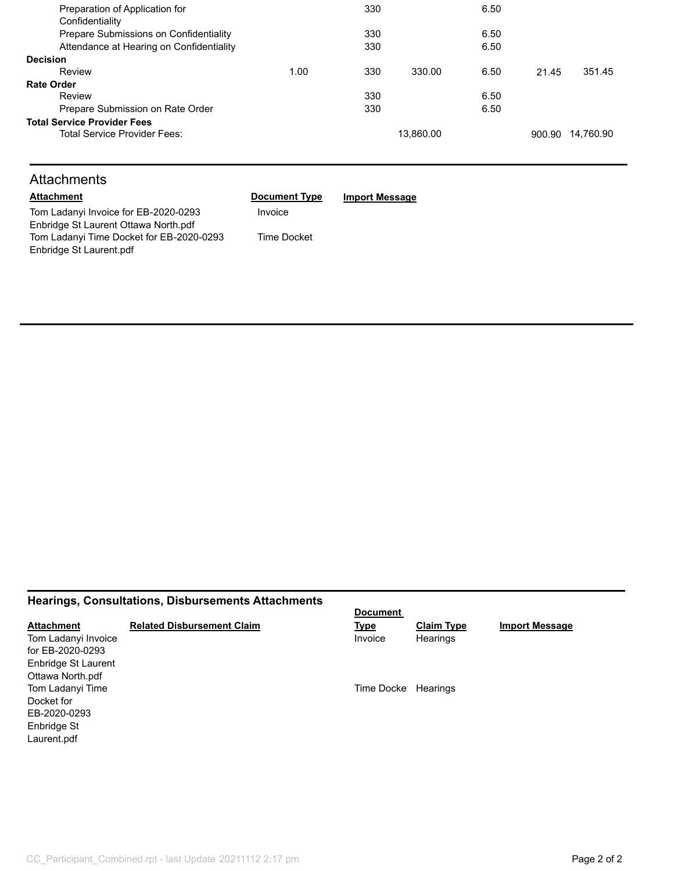| Preparation of Application for           |      | 330 |           | 6.50 |       |                  |
|------------------------------------------|------|-----|-----------|------|-------|------------------|
| Confidentiality                          |      |     |           |      |       |                  |
| Prepare Submissions on Confidentiality   |      | 330 |           | 6.50 |       |                  |
| Attendance at Hearing on Confidentiality |      | 330 |           | 6.50 |       |                  |
| <b>Decision</b>                          |      |     |           |      |       |                  |
| Review                                   | 1.00 | 330 | 330.00    | 6.50 | 21.45 | 351.45           |
| <b>Rate Order</b>                        |      |     |           |      |       |                  |
| Review                                   |      | 330 |           | 6.50 |       |                  |
| Prepare Submission on Rate Order         |      | 330 |           | 6.50 |       |                  |
| <b>Total Service Provider Fees</b>       |      |     |           |      |       |                  |
| Total Service Provider Fees:             |      |     | 13.860.00 |      |       | 900.90 14,760.90 |
|                                          |      |     |           |      |       |                  |

## **Attachments**

| <b>Attachment</b>                        | <b>Document Type</b> | <b>Import Message</b> |
|------------------------------------------|----------------------|-----------------------|
| Tom Ladanyi Invoice for EB-2020-0293     | Invoice              |                       |
| Enbridge St Laurent Ottawa North.pdf     |                      |                       |
| Tom Ladanyi Time Docket for EB-2020-0293 | Time Docket          |                       |
| Enbridge St Laurent.pdf                  |                      |                       |
|                                          |                      |                       |

### **Hearings, Consultations, Disbursements Attachments**

|                     |                                   | <b>Document</b>     |                   |                       |
|---------------------|-----------------------------------|---------------------|-------------------|-----------------------|
| <b>Attachment</b>   | <b>Related Disbursement Claim</b> | <u>Type</u>         | <b>Claim Type</b> | <b>Import Message</b> |
| Tom Ladanyi Invoice |                                   | Invoice             | Hearings          |                       |
| for EB-2020-0293    |                                   |                     |                   |                       |
| Enbridge St Laurent |                                   |                     |                   |                       |
| Ottawa North.pdf    |                                   |                     |                   |                       |
| Tom Ladanyi Time    |                                   | Time Docke Hearings |                   |                       |
| Docket for          |                                   |                     |                   |                       |
| EB-2020-0293        |                                   |                     |                   |                       |
| Enbridge St         |                                   |                     |                   |                       |
| Laurent.pdf         |                                   |                     |                   |                       |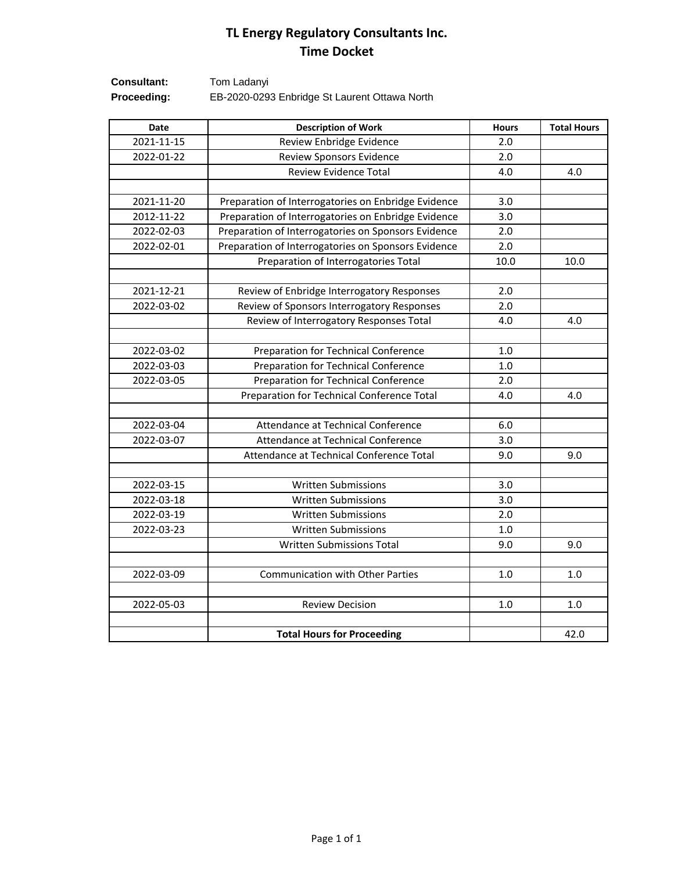# **TL Energy Regulatory Consultants Inc. Time Docket**

| <b>Consultant:</b> | Tom Ladanyi                                   |
|--------------------|-----------------------------------------------|
| Proceeding:        | EB-2020-0293 Enbridge St Laurent Ottawa North |

| Date       | <b>Description of Work</b>                          | <b>Hours</b> | <b>Total Hours</b> |
|------------|-----------------------------------------------------|--------------|--------------------|
| 2021-11-15 | Review Enbridge Evidence                            | 2.0          |                    |
| 2022-01-22 | Review Sponsors Evidence                            | 2.0          |                    |
|            | <b>Review Evidence Total</b>                        | 4.0          | 4.0                |
|            |                                                     |              |                    |
| 2021-11-20 | Preparation of Interrogatories on Enbridge Evidence | 3.0          |                    |
| 2012-11-22 | Preparation of Interrogatories on Enbridge Evidence | 3.0          |                    |
| 2022-02-03 | Preparation of Interrogatories on Sponsors Evidence | 2.0          |                    |
| 2022-02-01 | Preparation of Interrogatories on Sponsors Evidence | 2.0          |                    |
|            | Preparation of Interrogatories Total                | 10.0         | 10.0               |
| 2021-12-21 | Review of Enbridge Interrogatory Responses          | 2.0          |                    |
| 2022-03-02 | Review of Sponsors Interrogatory Responses          | 2.0          |                    |
|            | Review of Interrogatory Responses Total             | 4.0          | 4.0                |
|            |                                                     |              |                    |
| 2022-03-02 | Preparation for Technical Conference                | 1.0          |                    |
| 2022-03-03 | Preparation for Technical Conference                | 1.0          |                    |
| 2022-03-05 | Preparation for Technical Conference                | 2.0          |                    |
|            | Preparation for Technical Conference Total          | 4.0          | 4.0                |
|            |                                                     |              |                    |
| 2022-03-04 | Attendance at Technical Conference                  | 6.0          |                    |
| 2022-03-07 | Attendance at Technical Conference                  | 3.0          |                    |
|            | Attendance at Technical Conference Total            | 9.0          | 9.0                |
| 2022-03-15 | <b>Written Submissions</b>                          | 3.0          |                    |
| 2022-03-18 | <b>Written Submissions</b>                          | 3.0          |                    |
| 2022-03-19 | <b>Written Submissions</b>                          | 2.0          |                    |
| 2022-03-23 | Written Submissions                                 | 1.0          |                    |
|            | <b>Written Submissions Total</b>                    | 9.0          | 9.0                |
|            |                                                     |              |                    |
| 2022-03-09 | <b>Communication with Other Parties</b>             | 1.0          | 1.0                |
|            |                                                     |              |                    |
| 2022-05-03 | <b>Review Decision</b>                              | 1.0          | 1.0                |
|            |                                                     |              | 42.0               |
|            | <b>Total Hours for Proceeding</b>                   |              |                    |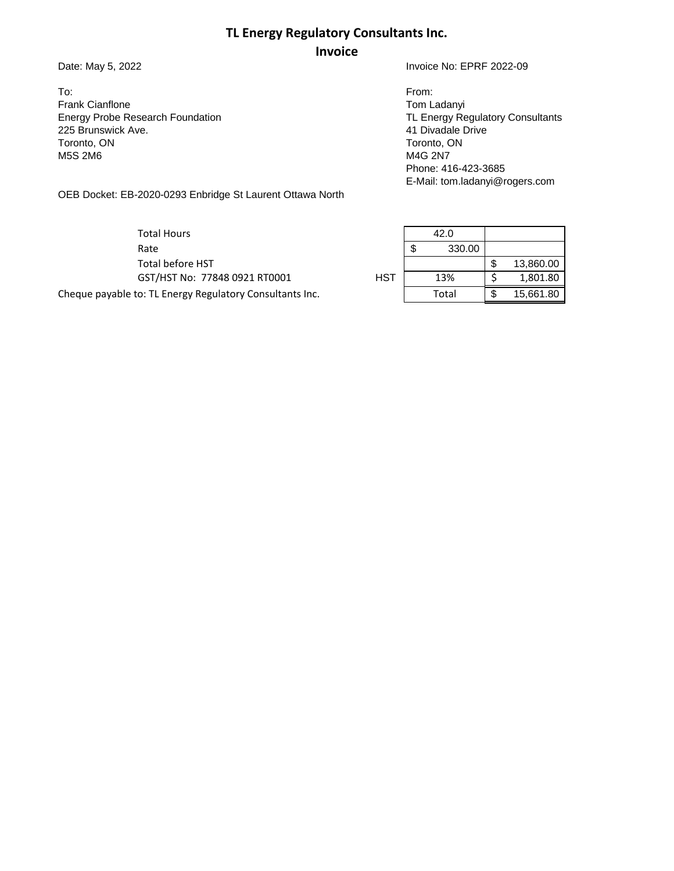### **TL Energy Regulatory Consultants Inc.**

### **Invoice**

To: From: Frank Cianflone Tom Ladanyi Energy Probe Research Foundation **TL Energy Regulatory Consultants** TL Energy Regulatory Consultants **Inc.** 225 Brunswick Ave. 225 Brunswick Ave. Toronto, ON Toronto, ON Toronto, ON Toronto, ON Toronto, ON Toronto, ON Toronto, ON Toronto, ON Toronto, ON Toronto, ON Toronto, ON Toronto, ON Toronto, ON Toronto, ON Toronto, ON Toronto, ON Toronto, ON Toronto, ON Toront

Date: May 5, 2022 **Invoice No: EPRF 2022-09** 

M4G 2N7 Phone: 416-423-3685 E-Mail: tom.ladanyi@rogers.com

OEB Docket: EB-2020-0293 Enbridge St Laurent Ottawa North

Total Hours 42.0 Rate  $\begin{array}{|c|c|c|c|c|}\n\hline\n8 & 330.00 \\
\hline\n\end{array}$ 

Cheque payable to: TL Energy Regulatory Consultants Inc. The Constantine Total | \$ 15,661.80

Total before HST  $\parallel$  \$ 13,860.00 GST/HST No: 77848 0921 RT0001 HST 13% \$ 1,801.80